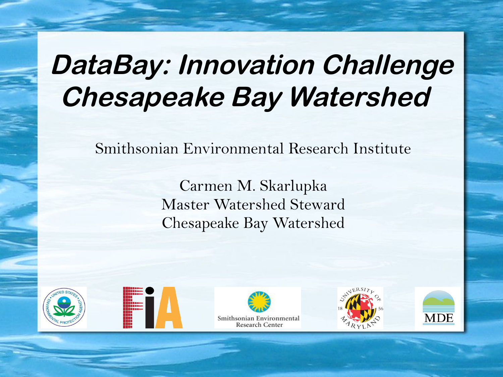## **DataBay: Innovation Challenge Chesapeake Bay Watershed**

Smithsonian Environmental Research Institute

Carmen M. Skarlupka Master Watershed Steward Chesapeake Bay Watershed









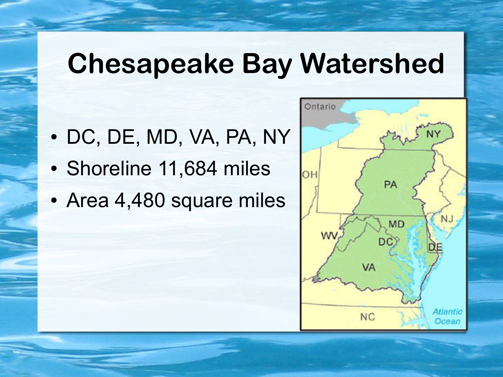## **Chesapeake Bay Watershed**

- DC, DE, MD, VA, PA, NY
- Shoreline 11,684 miles
- Area 4,480 square miles

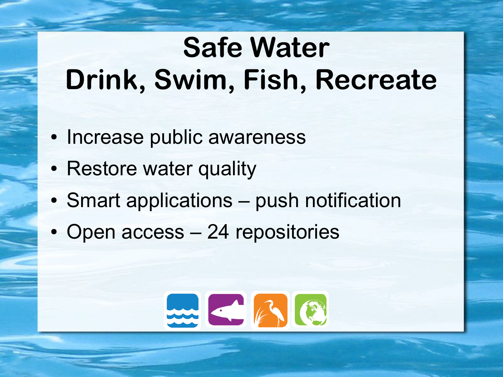# **Safe Water Drink, Swim, Fish, Recreate**

- Increase public awareness
- Restore water quality
- Smart applications push notification
- Open access 24 repositories

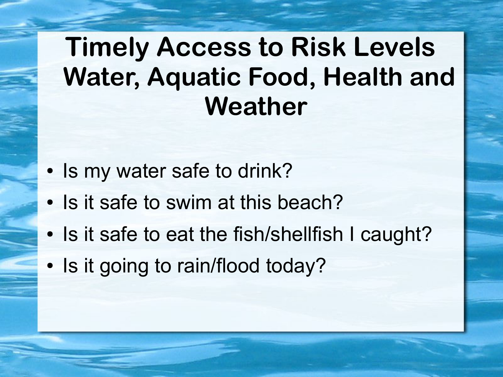### **Timely Access to Risk Levels Water, Aquatic Food, Health and Weather**

- Is my water safe to drink?
- Is it safe to swim at this beach?
- Is it safe to eat the fish/shellfish I caught?
- Is it going to rain/flood today?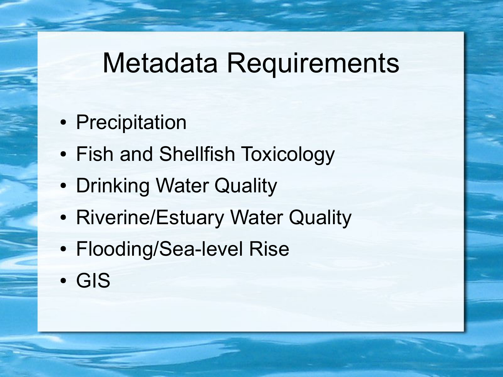## Metadata Requirements

- Precipitation
- Fish and Shellfish Toxicology
- Drinking Water Quality
- Riverine/Estuary Water Quality
- Flooding/Sea-level Rise
- GIS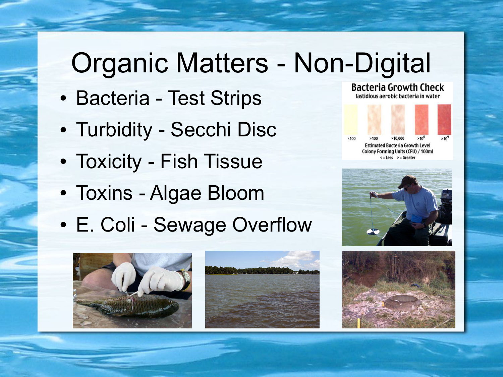# Organic Matters - Non-Digital

- Bacteria Test Strips
- Turbidity Secchi Disc
- Toxicity Fish Tissue
- Toxins Algae Bloom
- E. Coli Sewage Overflow



**Bacteria Growth Check** 







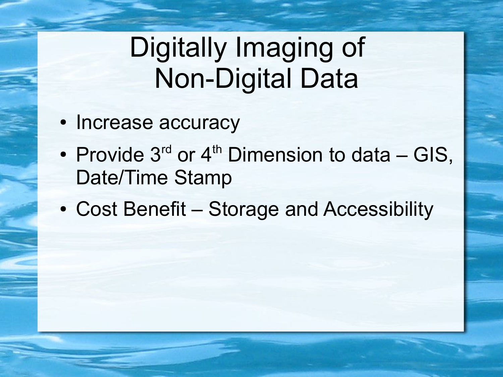## Digitally Imaging of Non-Digital Data

- Increase accuracy
- Provide  $3^{rd}$  or  $4^{th}$  Dimension to data GIS, Date/Time Stamp
- Cost Benefit Storage and Accessibility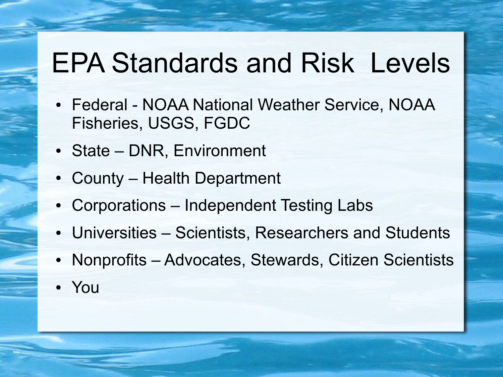### EPA Standards and Risk Levels

- Federal NOAA National Weather Service, NOAA Fisheries, USGS, FGDC
- State DNR, Environment
- County Health Department
- Corporations Independent Testing Labs
- Universities Scientists, Researchers and Students
- Nonprofits Advocates, Stewards, Citizen Scientists
- You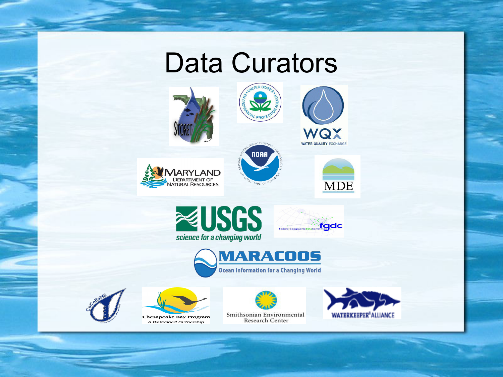#### Data Curators

**NOAA** 













**MDE** 



**Chesapeake Bay Program** A Watershed Partnership



**MARACOOS** 

**Ocean Information for a Changing World**